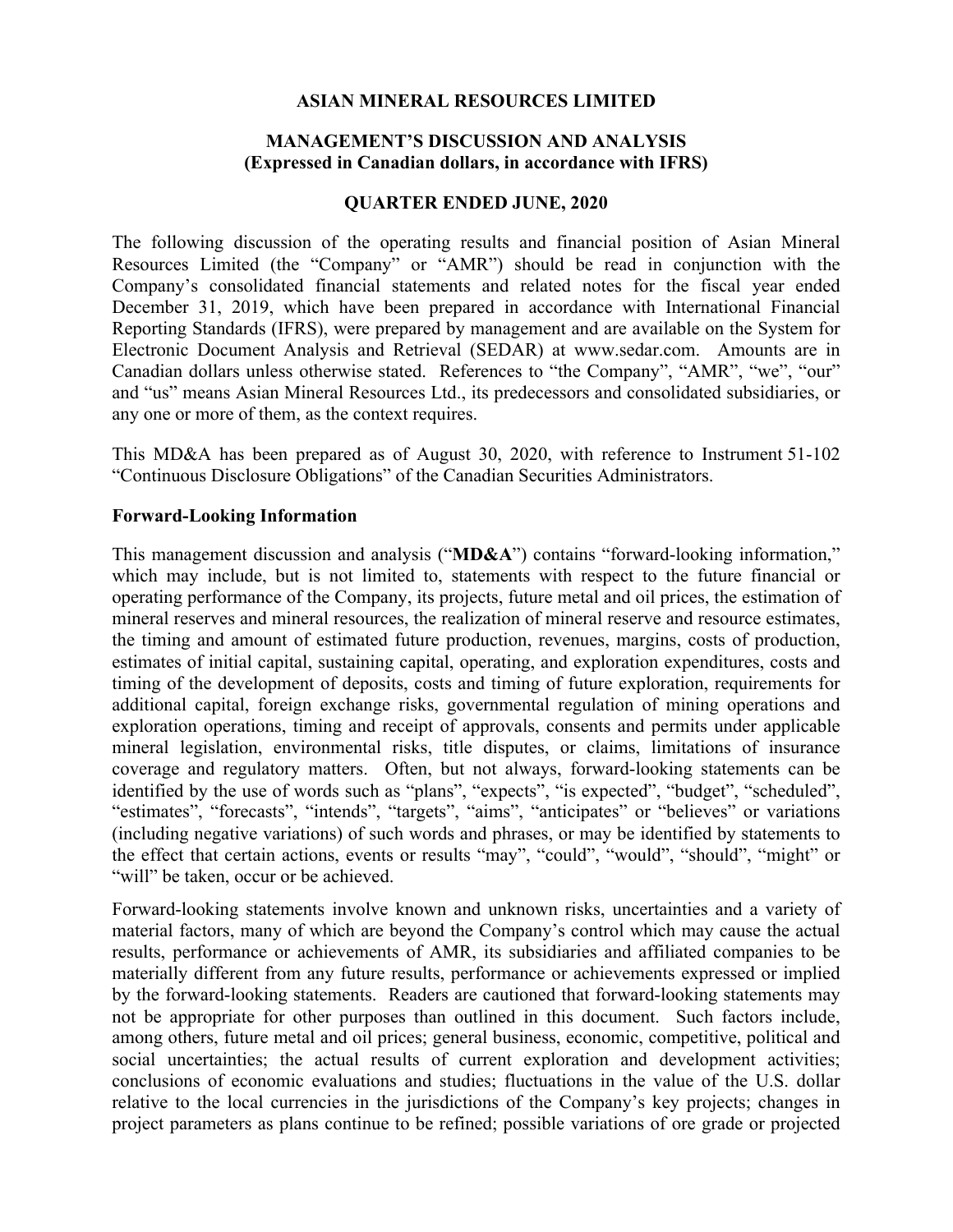#### **ASIAN MINERAL RESOURCES LIMITED**

### **MANAGEMENT'S DISCUSSION AND ANALYSIS (Expressed in Canadian dollars, in accordance with IFRS)**

#### **QUARTER ENDED JUNE, 2020**

The following discussion of the operating results and financial position of Asian Mineral Resources Limited (the "Company" or "AMR") should be read in conjunction with the Company's consolidated financial statements and related notes for the fiscal year ended December 31, 2019, which have been prepared in accordance with International Financial Reporting Standards (IFRS), were prepared by management and are available on the System for Electronic Document Analysis and Retrieval (SEDAR) at www.sedar.com. Amounts are in Canadian dollars unless otherwise stated. References to "the Company", "AMR", "we", "our" and "us" means Asian Mineral Resources Ltd., its predecessors and consolidated subsidiaries, or any one or more of them, as the context requires.

This MD&A has been prepared as of August 30, 2020, with reference to Instrument 51-102 "Continuous Disclosure Obligations" of the Canadian Securities Administrators.

#### **Forward-Looking Information**

This management discussion and analysis ("**MD&A**") contains "forward-looking information," which may include, but is not limited to, statements with respect to the future financial or operating performance of the Company, its projects, future metal and oil prices, the estimation of mineral reserves and mineral resources, the realization of mineral reserve and resource estimates, the timing and amount of estimated future production, revenues, margins, costs of production, estimates of initial capital, sustaining capital, operating, and exploration expenditures, costs and timing of the development of deposits, costs and timing of future exploration, requirements for additional capital, foreign exchange risks, governmental regulation of mining operations and exploration operations, timing and receipt of approvals, consents and permits under applicable mineral legislation, environmental risks, title disputes, or claims, limitations of insurance coverage and regulatory matters. Often, but not always, forward-looking statements can be identified by the use of words such as "plans", "expects", "is expected", "budget", "scheduled", "estimates", "forecasts", "intends", "targets", "aims", "anticipates" or "believes" or variations (including negative variations) of such words and phrases, or may be identified by statements to the effect that certain actions, events or results "may", "could", "would", "should", "might" or "will" be taken, occur or be achieved.

Forward-looking statements involve known and unknown risks, uncertainties and a variety of material factors, many of which are beyond the Company's control which may cause the actual results, performance or achievements of AMR, its subsidiaries and affiliated companies to be materially different from any future results, performance or achievements expressed or implied by the forward-looking statements. Readers are cautioned that forward-looking statements may not be appropriate for other purposes than outlined in this document. Such factors include, among others, future metal and oil prices; general business, economic, competitive, political and social uncertainties; the actual results of current exploration and development activities; conclusions of economic evaluations and studies; fluctuations in the value of the U.S. dollar relative to the local currencies in the jurisdictions of the Company's key projects; changes in project parameters as plans continue to be refined; possible variations of ore grade or projected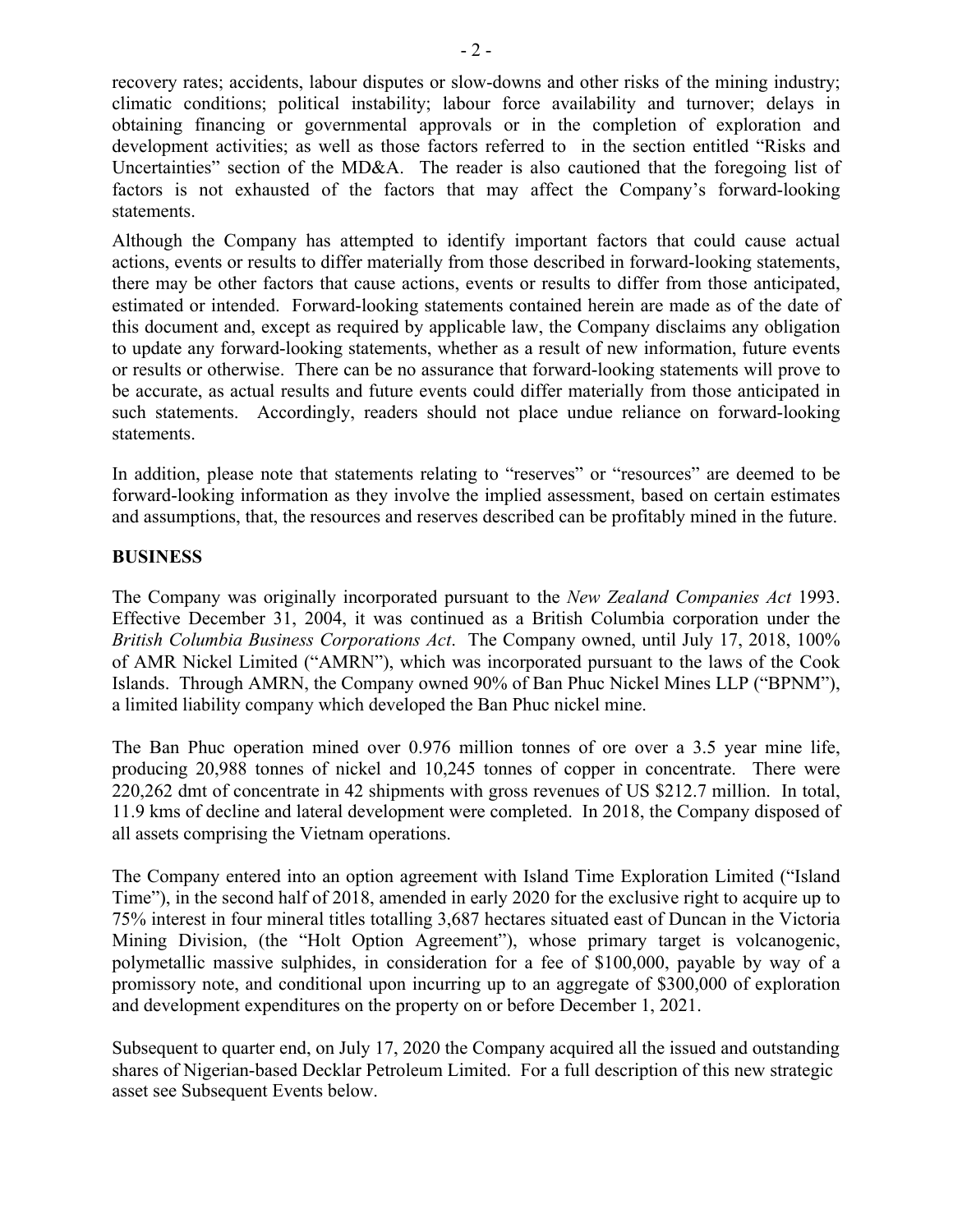recovery rates; accidents, labour disputes or slow-downs and other risks of the mining industry; climatic conditions; political instability; labour force availability and turnover; delays in obtaining financing or governmental approvals or in the completion of exploration and development activities; as well as those factors referred to in the section entitled "Risks and Uncertainties" section of the MD&A. The reader is also cautioned that the foregoing list of factors is not exhausted of the factors that may affect the Company's forward-looking statements.

Although the Company has attempted to identify important factors that could cause actual actions, events or results to differ materially from those described in forward-looking statements, there may be other factors that cause actions, events or results to differ from those anticipated, estimated or intended. Forward-looking statements contained herein are made as of the date of this document and, except as required by applicable law, the Company disclaims any obligation to update any forward-looking statements, whether as a result of new information, future events or results or otherwise. There can be no assurance that forward-looking statements will prove to be accurate, as actual results and future events could differ materially from those anticipated in such statements. Accordingly, readers should not place undue reliance on forward-looking statements.

In addition, please note that statements relating to "reserves" or "resources" are deemed to be forward-looking information as they involve the implied assessment, based on certain estimates and assumptions, that, the resources and reserves described can be profitably mined in the future.

## **BUSINESS**

The Company was originally incorporated pursuant to the *New Zealand Companies Act* 1993. Effective December 31, 2004, it was continued as a British Columbia corporation under the *British Columbia Business Corporations Act*. The Company owned, until July 17, 2018, 100% of AMR Nickel Limited ("AMRN"), which was incorporated pursuant to the laws of the Cook Islands. Through AMRN, the Company owned 90% of Ban Phuc Nickel Mines LLP ("BPNM"), a limited liability company which developed the Ban Phuc nickel mine.

The Ban Phuc operation mined over 0.976 million tonnes of ore over a 3.5 year mine life, producing 20,988 tonnes of nickel and 10,245 tonnes of copper in concentrate. There were 220,262 dmt of concentrate in 42 shipments with gross revenues of US \$212.7 million. In total, 11.9 kms of decline and lateral development were completed. In 2018, the Company disposed of all assets comprising the Vietnam operations.

The Company entered into an option agreement with Island Time Exploration Limited ("Island Time"), in the second half of 2018, amended in early 2020 for the exclusive right to acquire up to 75% interest in four mineral titles totalling 3,687 hectares situated east of Duncan in the Victoria Mining Division, (the "Holt Option Agreement"), whose primary target is volcanogenic, polymetallic massive sulphides, in consideration for a fee of \$100,000, payable by way of a promissory note, and conditional upon incurring up to an aggregate of \$300,000 of exploration and development expenditures on the property on or before December 1, 2021.

Subsequent to quarter end, on July 17, 2020 the Company acquired all the issued and outstanding shares of Nigerian-based Decklar Petroleum Limited. For a full description of this new strategic asset see Subsequent Events below.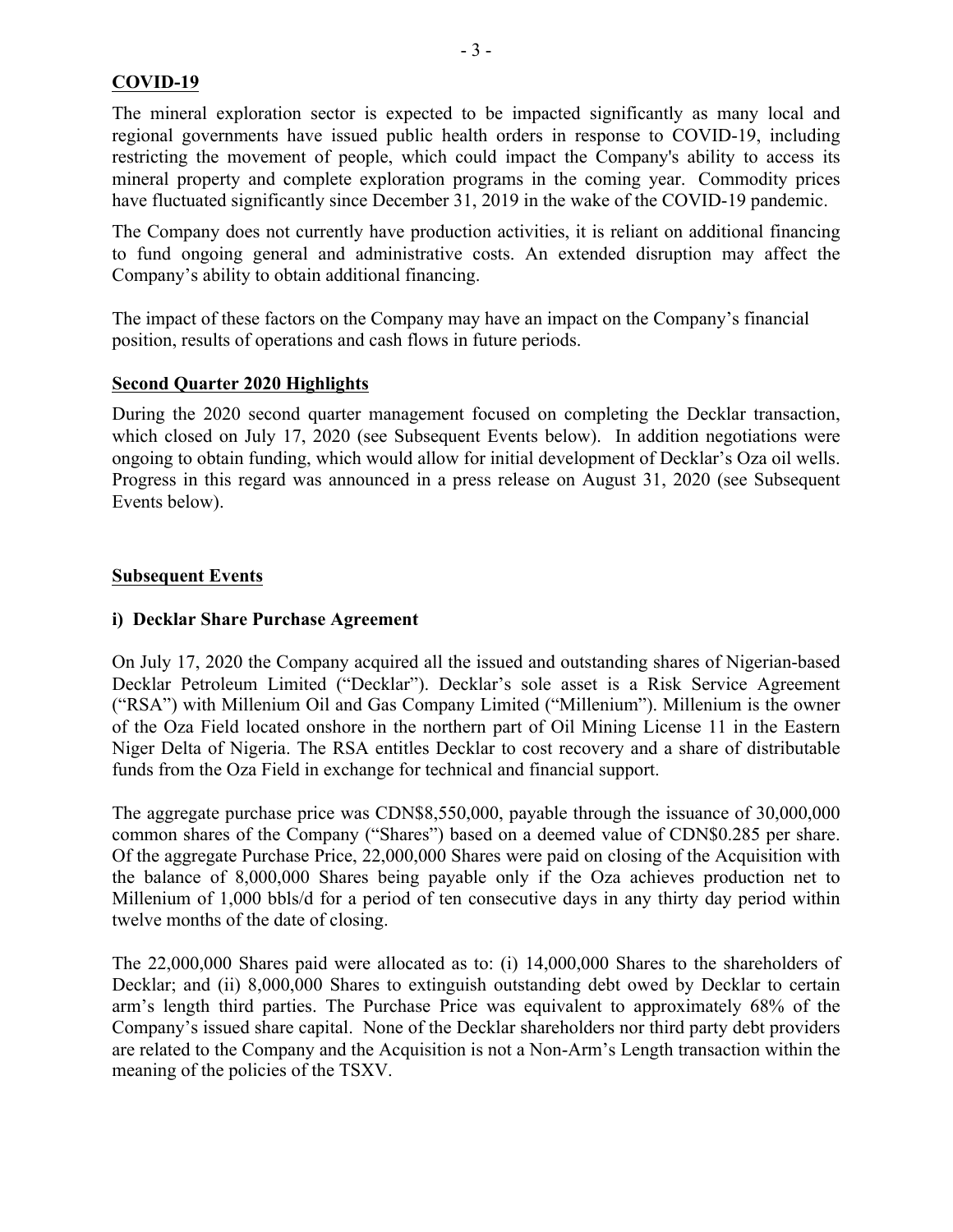## **COVID-19**

The mineral exploration sector is expected to be impacted significantly as many local and regional governments have issued public health orders in response to COVID-19, including restricting the movement of people, which could impact the Company's ability to access its mineral property and complete exploration programs in the coming year. Commodity prices have fluctuated significantly since December 31, 2019 in the wake of the COVID-19 pandemic.

The Company does not currently have production activities, it is reliant on additional financing to fund ongoing general and administrative costs. An extended disruption may affect the Company's ability to obtain additional financing.

The impact of these factors on the Company may have an impact on the Company's financial position, results of operations and cash flows in future periods.

### **Second Quarter 2020 Highlights**

During the 2020 second quarter management focused on completing the Decklar transaction, which closed on July 17, 2020 (see Subsequent Events below). In addition negotiations were ongoing to obtain funding, which would allow for initial development of Decklar's Oza oil wells. Progress in this regard was announced in a press release on August 31, 2020 (see Subsequent Events below).

## **Subsequent Events**

## **i) Decklar Share Purchase Agreement**

On July 17, 2020 the Company acquired all the issued and outstanding shares of Nigerian-based Decklar Petroleum Limited ("Decklar"). Decklar's sole asset is a Risk Service Agreement ("RSA") with Millenium Oil and Gas Company Limited ("Millenium"). Millenium is the owner of the Oza Field located onshore in the northern part of Oil Mining License 11 in the Eastern Niger Delta of Nigeria. The RSA entitles Decklar to cost recovery and a share of distributable funds from the Oza Field in exchange for technical and financial support.

The aggregate purchase price was CDN\$8,550,000, payable through the issuance of 30,000,000 common shares of the Company ("Shares") based on a deemed value of CDN\$0.285 per share. Of the aggregate Purchase Price, 22,000,000 Shares were paid on closing of the Acquisition with the balance of 8,000,000 Shares being payable only if the Oza achieves production net to Millenium of 1,000 bbls/d for a period of ten consecutive days in any thirty day period within twelve months of the date of closing.

The 22,000,000 Shares paid were allocated as to: (i) 14,000,000 Shares to the shareholders of Decklar; and (ii) 8,000,000 Shares to extinguish outstanding debt owed by Decklar to certain arm's length third parties. The Purchase Price was equivalent to approximately 68% of the Company's issued share capital. None of the Decklar shareholders nor third party debt providers are related to the Company and the Acquisition is not a Non-Arm's Length transaction within the meaning of the policies of the TSXV.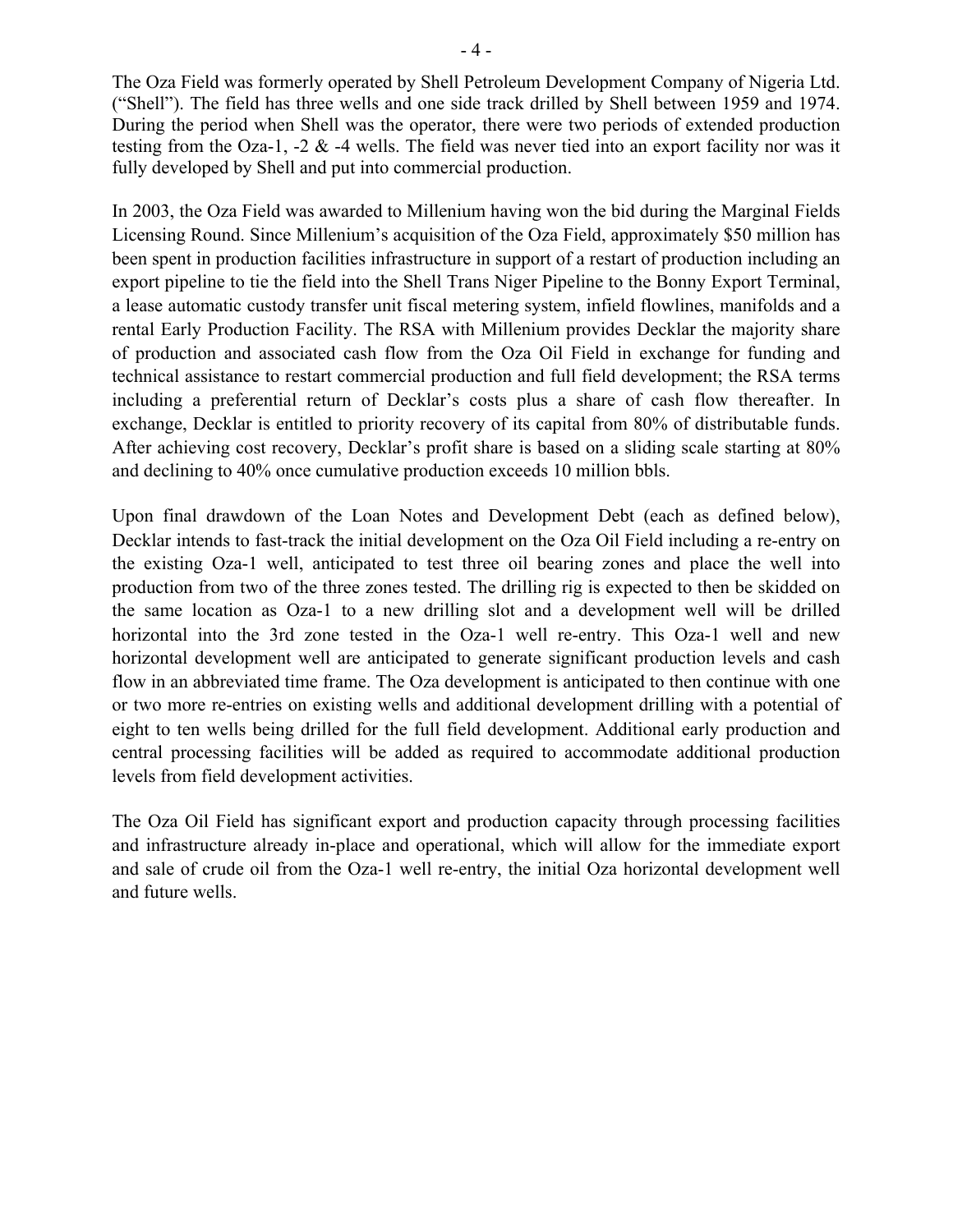The Oza Field was formerly operated by Shell Petroleum Development Company of Nigeria Ltd. ("Shell"). The field has three wells and one side track drilled by Shell between 1959 and 1974. During the period when Shell was the operator, there were two periods of extended production testing from the Oza-1, -2 & -4 wells. The field was never tied into an export facility nor was it fully developed by Shell and put into commercial production.

In 2003, the Oza Field was awarded to Millenium having won the bid during the Marginal Fields Licensing Round. Since Millenium's acquisition of the Oza Field, approximately \$50 million has been spent in production facilities infrastructure in support of a restart of production including an export pipeline to tie the field into the Shell Trans Niger Pipeline to the Bonny Export Terminal, a lease automatic custody transfer unit fiscal metering system, infield flowlines, manifolds and a rental Early Production Facility. The RSA with Millenium provides Decklar the majority share of production and associated cash flow from the Oza Oil Field in exchange for funding and technical assistance to restart commercial production and full field development; the RSA terms including a preferential return of Decklar's costs plus a share of cash flow thereafter. In exchange, Decklar is entitled to priority recovery of its capital from 80% of distributable funds. After achieving cost recovery, Decklar's profit share is based on a sliding scale starting at 80% and declining to 40% once cumulative production exceeds 10 million bbls.

Upon final drawdown of the Loan Notes and Development Debt (each as defined below), Decklar intends to fast-track the initial development on the Oza Oil Field including a re-entry on the existing Oza-1 well, anticipated to test three oil bearing zones and place the well into production from two of the three zones tested. The drilling rig is expected to then be skidded on the same location as Oza-1 to a new drilling slot and a development well will be drilled horizontal into the 3rd zone tested in the Oza-1 well re-entry. This Oza-1 well and new horizontal development well are anticipated to generate significant production levels and cash flow in an abbreviated time frame. The Oza development is anticipated to then continue with one or two more re-entries on existing wells and additional development drilling with a potential of eight to ten wells being drilled for the full field development. Additional early production and central processing facilities will be added as required to accommodate additional production levels from field development activities.

The Oza Oil Field has significant export and production capacity through processing facilities and infrastructure already in-place and operational, which will allow for the immediate export and sale of crude oil from the Oza-1 well re-entry, the initial Oza horizontal development well and future wells.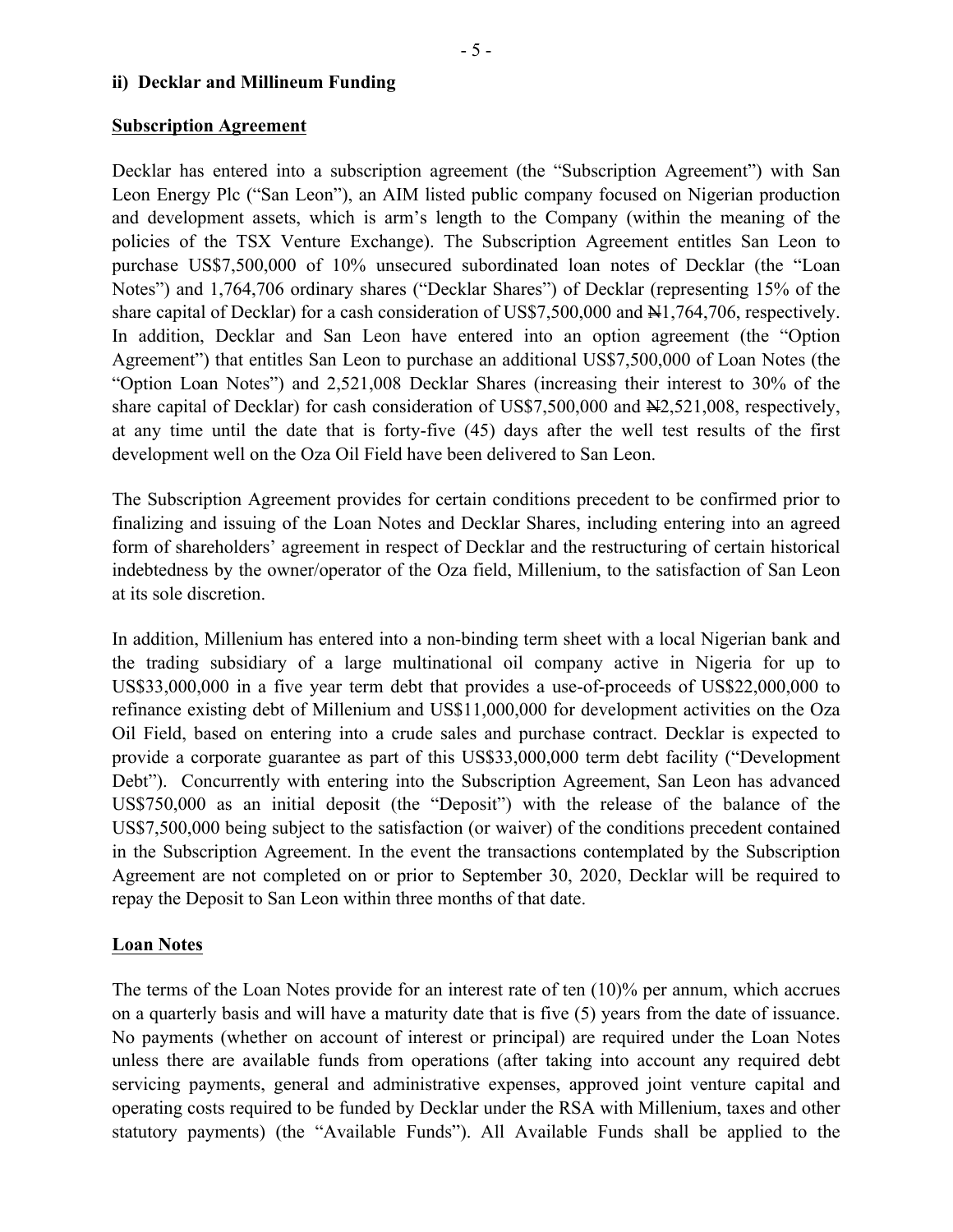### **Subscription Agreement**

Decklar has entered into a subscription agreement (the "Subscription Agreement") with San Leon Energy Plc ("San Leon"), an AIM listed public company focused on Nigerian production and development assets, which is arm's length to the Company (within the meaning of the policies of the TSX Venture Exchange). The Subscription Agreement entitles San Leon to purchase US\$7,500,000 of 10% unsecured subordinated loan notes of Decklar (the "Loan Notes") and 1,764,706 ordinary shares ("Decklar Shares") of Decklar (representing 15% of the share capital of Decklar) for a cash consideration of US\$7,500,000 and  $\frac{1}{1764}$ ,706, respectively. In addition, Decklar and San Leon have entered into an option agreement (the "Option Agreement") that entitles San Leon to purchase an additional US\$7,500,000 of Loan Notes (the "Option Loan Notes") and 2,521,008 Decklar Shares (increasing their interest to 30% of the share capital of Decklar) for cash consideration of US\$7,500,000 and  $\text{H2},$ 521,008, respectively, at any time until the date that is forty-five (45) days after the well test results of the first development well on the Oza Oil Field have been delivered to San Leon.

The Subscription Agreement provides for certain conditions precedent to be confirmed prior to finalizing and issuing of the Loan Notes and Decklar Shares, including entering into an agreed form of shareholders' agreement in respect of Decklar and the restructuring of certain historical indebtedness by the owner/operator of the Oza field, Millenium, to the satisfaction of San Leon at its sole discretion.

In addition, Millenium has entered into a non-binding term sheet with a local Nigerian bank and the trading subsidiary of a large multinational oil company active in Nigeria for up to US\$33,000,000 in a five year term debt that provides a use-of-proceeds of US\$22,000,000 to refinance existing debt of Millenium and US\$11,000,000 for development activities on the Oza Oil Field, based on entering into a crude sales and purchase contract. Decklar is expected to provide a corporate guarantee as part of this US\$33,000,000 term debt facility ("Development Debt"). Concurrently with entering into the Subscription Agreement, San Leon has advanced US\$750,000 as an initial deposit (the "Deposit") with the release of the balance of the US\$7,500,000 being subject to the satisfaction (or waiver) of the conditions precedent contained in the Subscription Agreement. In the event the transactions contemplated by the Subscription Agreement are not completed on or prior to September 30, 2020, Decklar will be required to repay the Deposit to San Leon within three months of that date.

# **Loan Notes**

The terms of the Loan Notes provide for an interest rate of ten (10)% per annum, which accrues on a quarterly basis and will have a maturity date that is five (5) years from the date of issuance. No payments (whether on account of interest or principal) are required under the Loan Notes unless there are available funds from operations (after taking into account any required debt servicing payments, general and administrative expenses, approved joint venture capital and operating costs required to be funded by Decklar under the RSA with Millenium, taxes and other statutory payments) (the "Available Funds"). All Available Funds shall be applied to the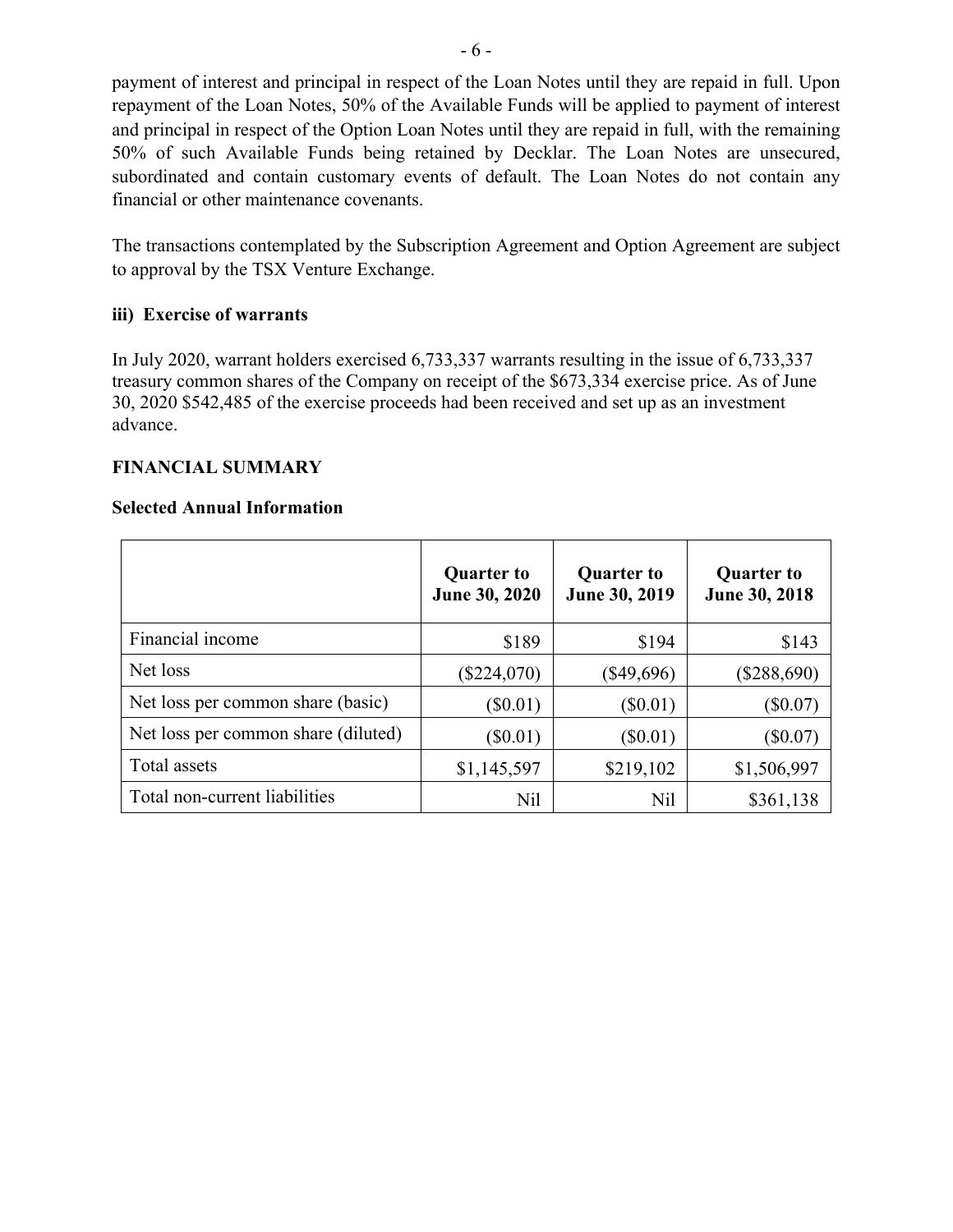payment of interest and principal in respect of the Loan Notes until they are repaid in full. Upon repayment of the Loan Notes, 50% of the Available Funds will be applied to payment of interest and principal in respect of the Option Loan Notes until they are repaid in full, with the remaining 50% of such Available Funds being retained by Decklar. The Loan Notes are unsecured, subordinated and contain customary events of default. The Loan Notes do not contain any financial or other maintenance covenants.

The transactions contemplated by the Subscription Agreement and Option Agreement are subject to approval by the TSX Venture Exchange.

# **iii) Exercise of warrants**

In July 2020, warrant holders exercised 6,733,337 warrants resulting in the issue of 6,733,337 treasury common shares of the Company on receipt of the \$673,334 exercise price. As of June 30, 2020 \$542,485 of the exercise proceeds had been received and set up as an investment advance.

# **FINANCIAL SUMMARY**

## **Selected Annual Information**

|                                     | <b>Quarter to</b><br>June 30, 2020 | <b>Quarter to</b><br>June 30, 2019 | <b>Quarter to</b><br>June 30, 2018 |
|-------------------------------------|------------------------------------|------------------------------------|------------------------------------|
| Financial income                    | \$189                              | \$194                              | \$143                              |
| Net loss                            | $(\$224,070)$                      | $(\$49,696)$                       | $(\$288,690)$                      |
| Net loss per common share (basic)   | $(\$0.01)$                         | $(\$0.01)$                         | $(\$0.07)$                         |
| Net loss per common share (diluted) | $(\$0.01)$                         | $(\$0.01)$                         | $(\$0.07)$                         |
| Total assets                        | \$1,145,597                        | \$219,102                          | \$1,506,997                        |
| Total non-current liabilities       | Nil                                | Nil                                | \$361,138                          |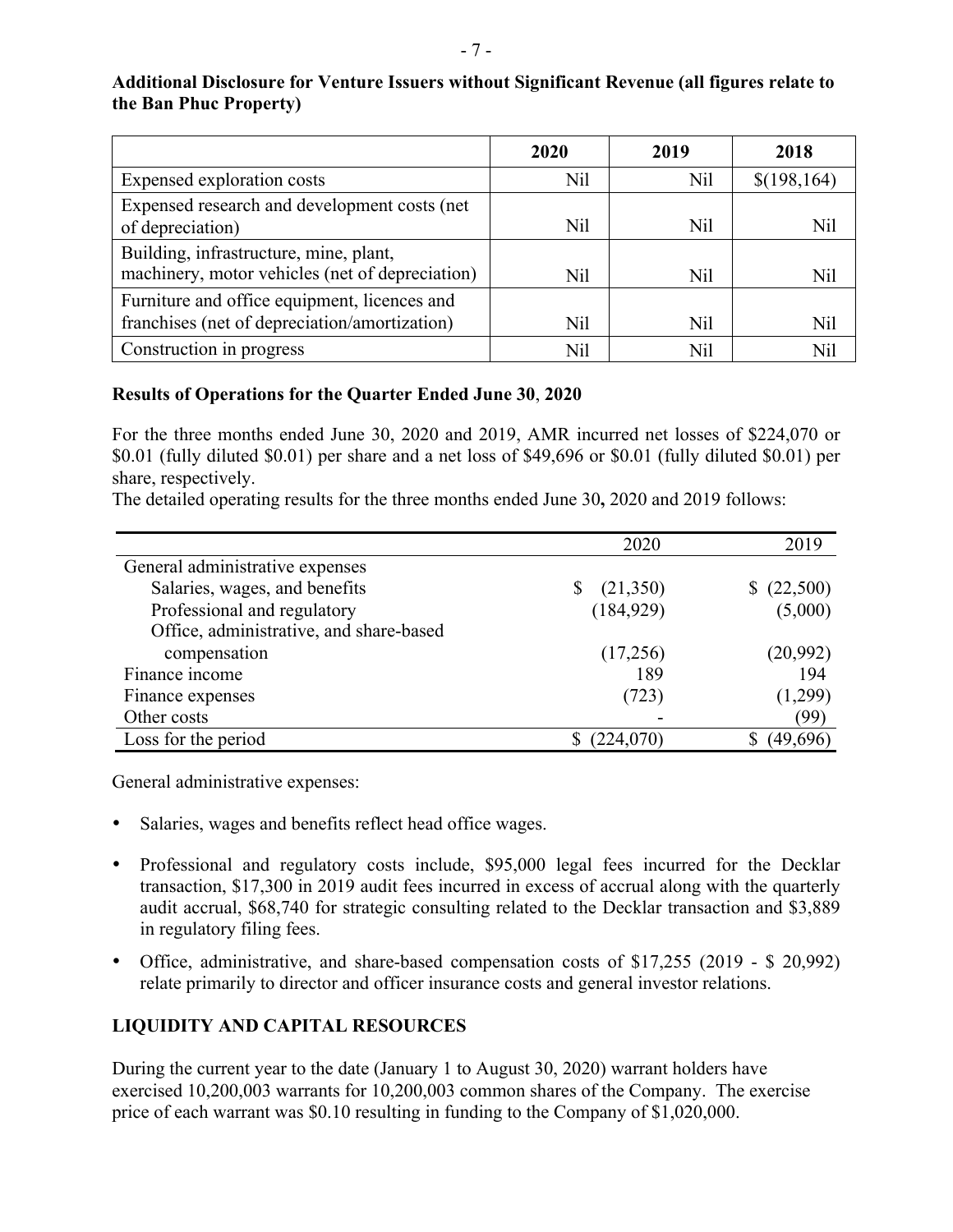### **Additional Disclosure for Venture Issuers without Significant Revenue (all figures relate to the Ban Phuc Property)**

|                                                                                               | 2020 | 2019 | 2018         |
|-----------------------------------------------------------------------------------------------|------|------|--------------|
| Expensed exploration costs                                                                    | Nil  | Nil  | \$(198, 164) |
| Expensed research and development costs (net<br>of depreciation)                              | Nil  | Nil  | Nil          |
| Building, infrastructure, mine, plant,<br>machinery, motor vehicles (net of depreciation)     | Nil  | Nil  | Nil          |
| Furniture and office equipment, licences and<br>franchises (net of depreciation/amortization) | Nil  | Nil  | Nil          |
| Construction in progress                                                                      | Nil  | Nil  | Nil          |

# **Results of Operations for the Quarter Ended June 30**, **2020**

For the three months ended June 30, 2020 and 2019, AMR incurred net losses of \$224,070 or \$0.01 (fully diluted \$0.01) per share and a net loss of \$49,696 or \$0.01 (fully diluted \$0.01) per share, respectively.

|                                         | 2020       | 2019     |
|-----------------------------------------|------------|----------|
| General administrative expenses         |            |          |
| Salaries, wages, and benefits           | (21,350)   | (22,500) |
| Professional and regulatory             | (184, 929) | (5,000)  |
| Office, administrative, and share-based |            |          |
| compensation                            | (17,256)   | (20,992) |
| Finance income                          | 189        | 194      |
| Finance expenses                        | (723)      | (1,299)  |
| Other costs                             |            | (99)     |
| Loss for the period                     | (224,070)  | (49,696) |

The detailed operating results for the three months ended June 30**,** 2020 and 2019 follows:

General administrative expenses:

- Salaries, wages and benefits reflect head office wages.
- Professional and regulatory costs include, \$95,000 legal fees incurred for the Decklar transaction, \$17,300 in 2019 audit fees incurred in excess of accrual along with the quarterly audit accrual, \$68,740 for strategic consulting related to the Decklar transaction and \$3,889 in regulatory filing fees.
- Office, administrative, and share-based compensation costs of \$17,255 (2019 \$ 20,992) relate primarily to director and officer insurance costs and general investor relations.

# **LIQUIDITY AND CAPITAL RESOURCES**

During the current year to the date (January 1 to August 30, 2020) warrant holders have exercised 10,200,003 warrants for 10,200,003 common shares of the Company. The exercise price of each warrant was \$0.10 resulting in funding to the Company of \$1,020,000.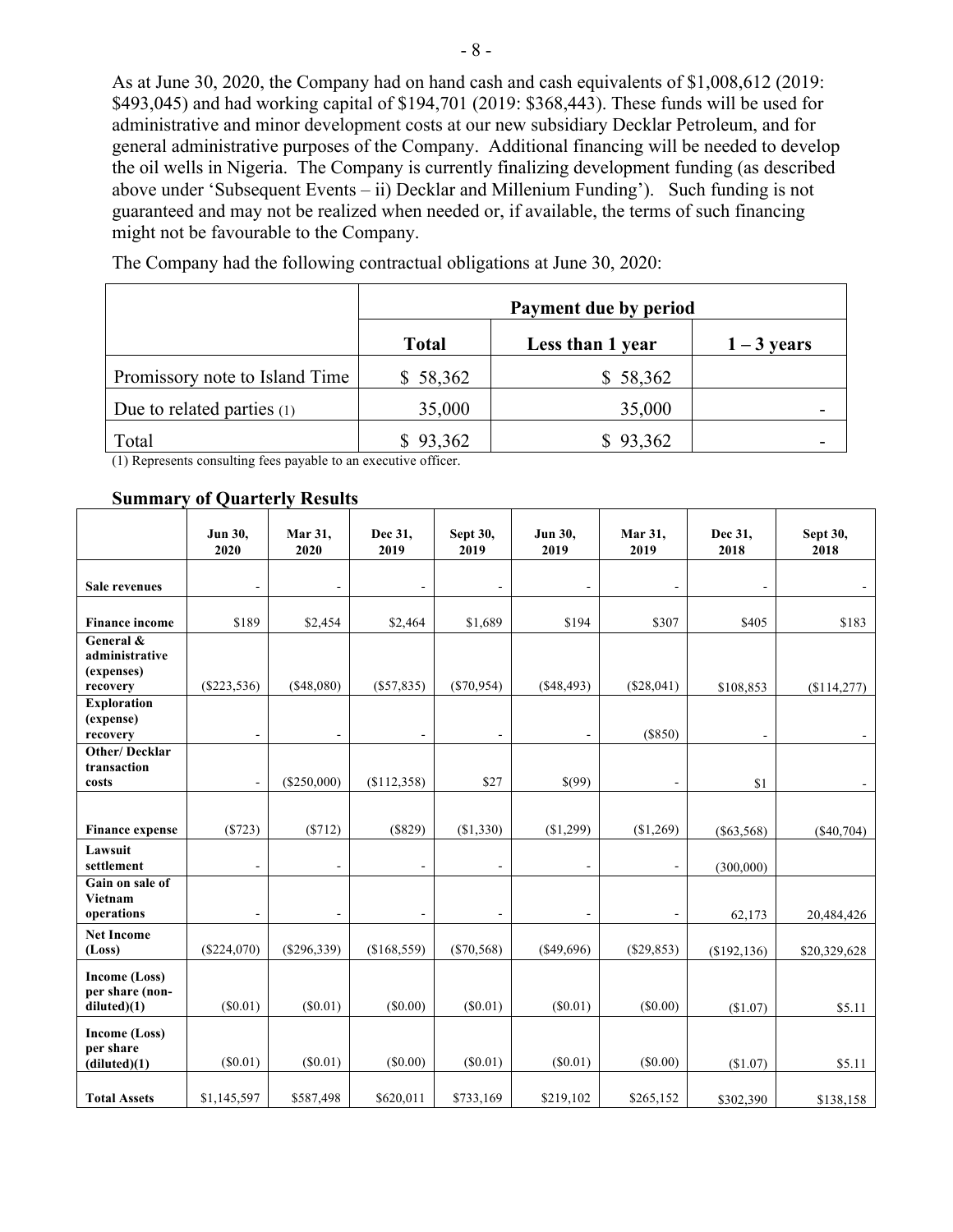As at June 30, 2020, the Company had on hand cash and cash equivalents of \$1,008,612 (2019: \$493,045) and had working capital of \$194,701 (2019: \$368,443). These funds will be used for administrative and minor development costs at our new subsidiary Decklar Petroleum, and for general administrative purposes of the Company. Additional financing will be needed to develop the oil wells in Nigeria. The Company is currently finalizing development funding (as described above under 'Subsequent Events – ii) Decklar and Millenium Funding'). Such funding is not guaranteed and may not be realized when needed or, if available, the terms of such financing might not be favourable to the Company.

|                                | Payment due by period |                  |               |  |
|--------------------------------|-----------------------|------------------|---------------|--|
|                                | <b>Total</b>          | Less than 1 year | $1 - 3$ years |  |
| Promissory note to Island Time | \$58,362              | \$58,362         |               |  |
| Due to related parties $(1)$   | 35,000                | 35,000           |               |  |
| Total                          | \$93,362              | \$93,362         |               |  |

The Company had the following contractual obligations at June 30, 2020:

(1) Represents consulting fees payable to an executive officer.

#### **Summary of Quarterly Results**

|                                                       | Jun 30,<br>2020 | Mar 31,<br>2020 | Dec 31,<br>2019              | Sept 30,<br>2019 | Jun 30,<br>2019          | Mar 31,<br>2019          | Dec 31,<br>2018          | <b>Sept 30,</b><br>2018 |
|-------------------------------------------------------|-----------------|-----------------|------------------------------|------------------|--------------------------|--------------------------|--------------------------|-------------------------|
| Sale revenues                                         |                 |                 |                              |                  |                          |                          |                          |                         |
| <b>Finance income</b>                                 | \$189           | \$2,454         | \$2,464                      | \$1,689          | \$194                    | \$307                    | \$405                    | \$183                   |
| General &<br>administrative<br>(expenses)<br>recovery | $(\$223,536)$   | (\$48,080)      | (\$57,835)                   | $(\$70,954)$     | (\$48,493)               | (\$28,041)               | \$108,853                | (\$114,277)             |
| <b>Exploration</b><br>(expense)<br>recovery           | $\overline{a}$  | $\blacksquare$  | $\qquad \qquad \blacksquare$ | $\blacksquare$   | $\overline{\phantom{m}}$ | (\$850)                  | $\overline{\phantom{a}}$ |                         |
| <b>Other/Decklar</b><br>transaction<br>costs          | $\blacksquare$  | (\$250,000)     | ( \$112,358)                 | \$27             | \$(99)                   | $\overline{\phantom{a}}$ | \$1                      |                         |
| <b>Finance expense</b>                                | (\$723)         | (\$712)         | (\$829)                      | (\$1,330)        | (\$1,299)                | (\$1,269)                | $(\$63,568)$             | $(\$40,704)$            |
| Lawsuit<br>settlement                                 |                 | $\overline{a}$  | -                            |                  |                          |                          | (300,000)                |                         |
| Gain on sale of<br>Vietnam<br>operations              |                 | $\blacksquare$  |                              |                  |                          |                          | 62,173                   | 20,484,426              |
| <b>Net Income</b><br>(Loss)                           | $(\$224,070)$   | (\$296,339)     | (\$168,559)                  | $(\$70,568)$     | $(\$49,696)$             | $(\$29,853)$             | (\$192, 136)             | \$20,329,628            |
| <b>Income (Loss)</b><br>per share (non-<br>diluted(1) | $(\$0.01)$      | $(\$0.01)$      | $(\$0.00)$                   | $(\$0.01)$       | $(\$0.01)$               | $(\$0.00)$               | (\$1.07)                 | \$5.11                  |
| <b>Income (Loss)</b><br>per share<br>(diluted)(1)     | $(\$0.01)$      | $(\$0.01)$      | (\$0.00)                     | (\$0.01)         | $(\$0.01)$               | (\$0.00)                 | (\$1.07)                 | \$5.11                  |
| <b>Total Assets</b>                                   | \$1,145,597     | \$587,498       | \$620,011                    | \$733,169        | \$219,102                | \$265,152                | \$302,390                | \$138,158               |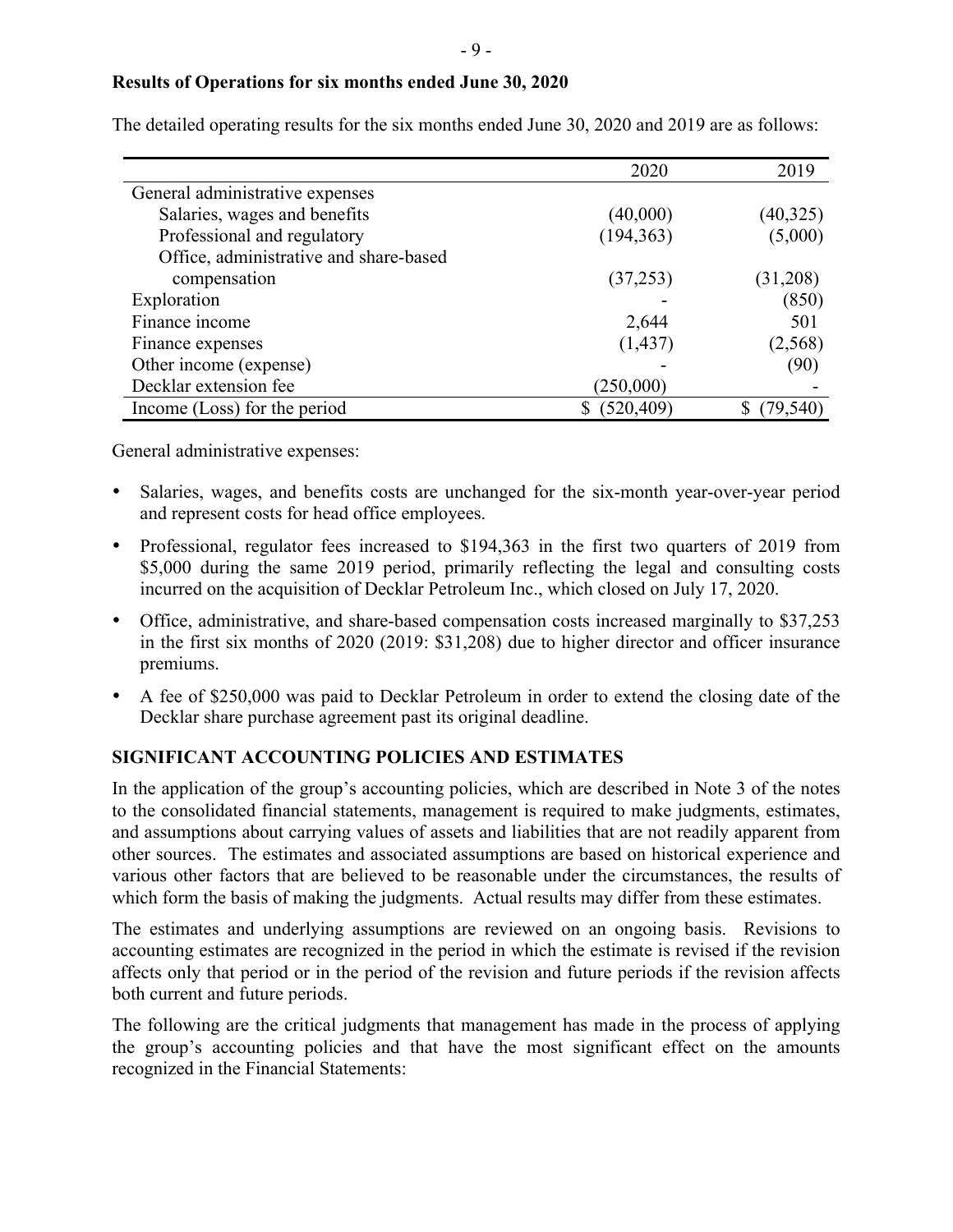### **Results of Operations for six months ended June 30, 2020**

|                                        | 2020       | 2019      |
|----------------------------------------|------------|-----------|
| General administrative expenses        |            |           |
| Salaries, wages and benefits           | (40,000)   | (40, 325) |
| Professional and regulatory            | (194, 363) | (5,000)   |
| Office, administrative and share-based |            |           |
| compensation                           | (37,253)   | (31,208)  |
| Exploration                            |            | (850)     |
| Finance income                         | 2,644      | 501       |
| Finance expenses                       | (1, 437)   | (2, 568)  |
| Other income (expense)                 |            | (90)      |
| Decklar extension fee                  | (250,000)  |           |
| Income (Loss) for the period           | (520, 409) | (79,540)  |

The detailed operating results for the six months ended June 30, 2020 and 2019 are as follows:

General administrative expenses:

- Salaries, wages, and benefits costs are unchanged for the six-month year-over-year period and represent costs for head office employees.
- Professional, regulator fees increased to \$194,363 in the first two quarters of 2019 from \$5,000 during the same 2019 period, primarily reflecting the legal and consulting costs incurred on the acquisition of Decklar Petroleum Inc., which closed on July 17, 2020.
- Office, administrative, and share-based compensation costs increased marginally to \$37,253 in the first six months of 2020 (2019: \$31,208) due to higher director and officer insurance premiums.
- A fee of \$250,000 was paid to Decklar Petroleum in order to extend the closing date of the Decklar share purchase agreement past its original deadline.

# **SIGNIFICANT ACCOUNTING POLICIES AND ESTIMATES**

In the application of the group's accounting policies, which are described in Note 3 of the notes to the consolidated financial statements, management is required to make judgments, estimates, and assumptions about carrying values of assets and liabilities that are not readily apparent from other sources. The estimates and associated assumptions are based on historical experience and various other factors that are believed to be reasonable under the circumstances, the results of which form the basis of making the judgments. Actual results may differ from these estimates.

The estimates and underlying assumptions are reviewed on an ongoing basis. Revisions to accounting estimates are recognized in the period in which the estimate is revised if the revision affects only that period or in the period of the revision and future periods if the revision affects both current and future periods.

The following are the critical judgments that management has made in the process of applying the group's accounting policies and that have the most significant effect on the amounts recognized in the Financial Statements: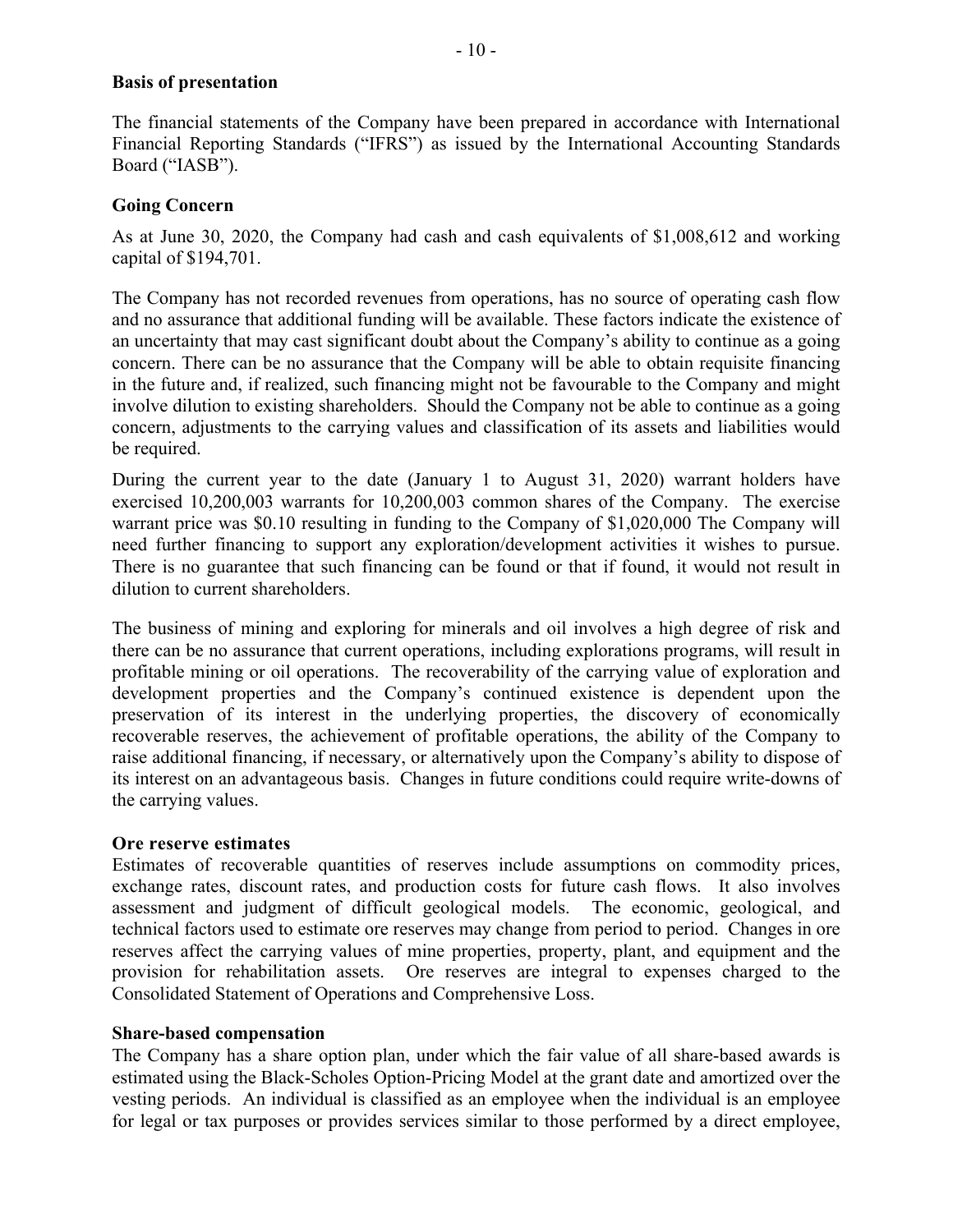#### **Basis of presentation**

The financial statements of the Company have been prepared in accordance with International Financial Reporting Standards ("IFRS") as issued by the International Accounting Standards Board ("IASB").

## **Going Concern**

As at June 30, 2020, the Company had cash and cash equivalents of \$1,008,612 and working capital of \$194,701.

The Company has not recorded revenues from operations, has no source of operating cash flow and no assurance that additional funding will be available. These factors indicate the existence of an uncertainty that may cast significant doubt about the Company's ability to continue as a going concern. There can be no assurance that the Company will be able to obtain requisite financing in the future and, if realized, such financing might not be favourable to the Company and might involve dilution to existing shareholders. Should the Company not be able to continue as a going concern, adjustments to the carrying values and classification of its assets and liabilities would be required.

During the current year to the date (January 1 to August 31, 2020) warrant holders have exercised 10,200,003 warrants for 10,200,003 common shares of the Company. The exercise warrant price was \$0.10 resulting in funding to the Company of \$1,020,000 The Company will need further financing to support any exploration/development activities it wishes to pursue. There is no guarantee that such financing can be found or that if found, it would not result in dilution to current shareholders.

The business of mining and exploring for minerals and oil involves a high degree of risk and there can be no assurance that current operations, including explorations programs, will result in profitable mining or oil operations. The recoverability of the carrying value of exploration and development properties and the Company's continued existence is dependent upon the preservation of its interest in the underlying properties, the discovery of economically recoverable reserves, the achievement of profitable operations, the ability of the Company to raise additional financing, if necessary, or alternatively upon the Company's ability to dispose of its interest on an advantageous basis. Changes in future conditions could require write-downs of the carrying values.

### **Ore reserve estimates**

Estimates of recoverable quantities of reserves include assumptions on commodity prices, exchange rates, discount rates, and production costs for future cash flows. It also involves assessment and judgment of difficult geological models. The economic, geological, and technical factors used to estimate ore reserves may change from period to period. Changes in ore reserves affect the carrying values of mine properties, property, plant, and equipment and the provision for rehabilitation assets. Ore reserves are integral to expenses charged to the Consolidated Statement of Operations and Comprehensive Loss.

### **Share-based compensation**

The Company has a share option plan, under which the fair value of all share-based awards is estimated using the Black-Scholes Option-Pricing Model at the grant date and amortized over the vesting periods. An individual is classified as an employee when the individual is an employee for legal or tax purposes or provides services similar to those performed by a direct employee,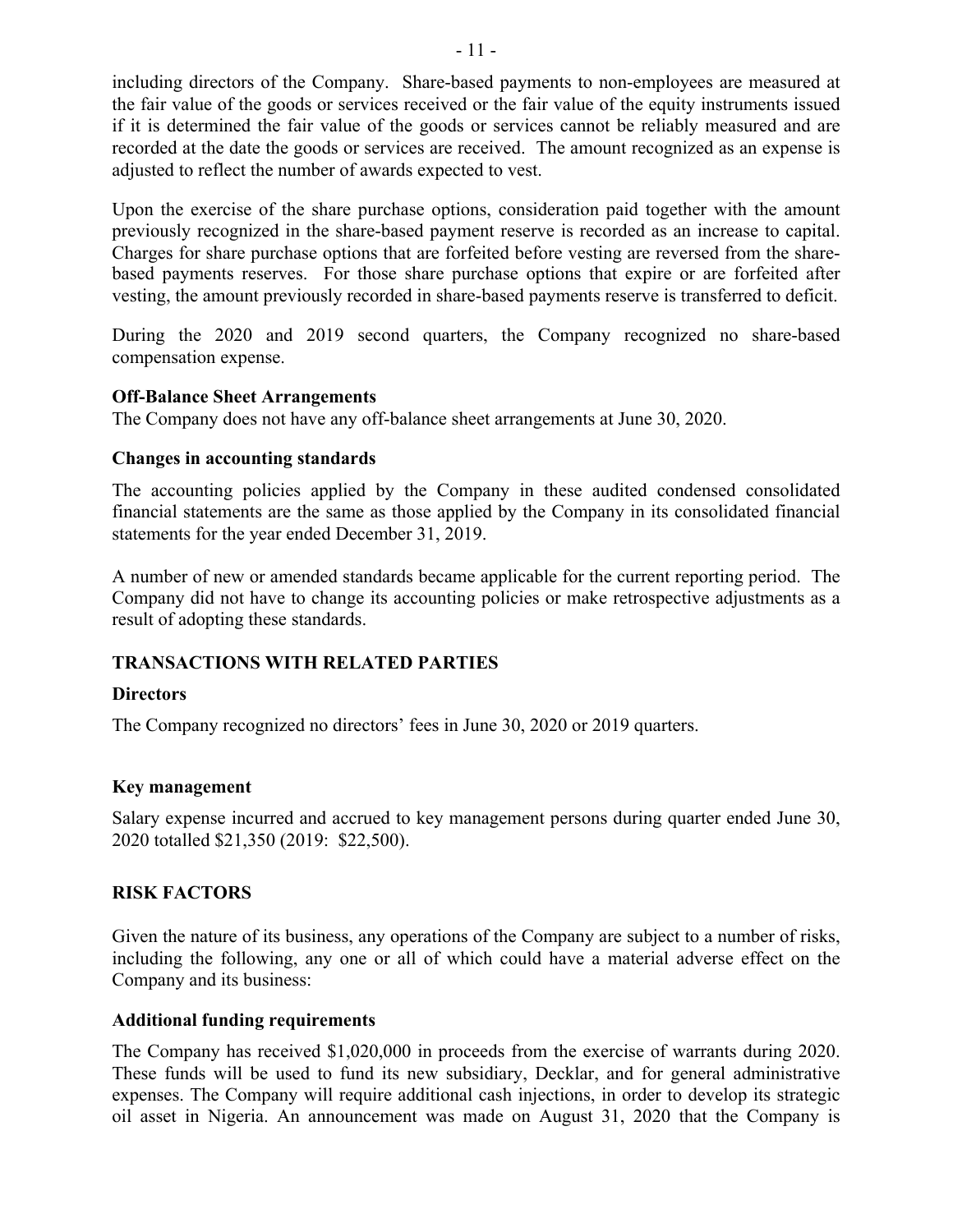including directors of the Company. Share-based payments to non-employees are measured at the fair value of the goods or services received or the fair value of the equity instruments issued if it is determined the fair value of the goods or services cannot be reliably measured and are recorded at the date the goods or services are received. The amount recognized as an expense is adjusted to reflect the number of awards expected to vest.

Upon the exercise of the share purchase options, consideration paid together with the amount previously recognized in the share-based payment reserve is recorded as an increase to capital. Charges for share purchase options that are forfeited before vesting are reversed from the sharebased payments reserves. For those share purchase options that expire or are forfeited after vesting, the amount previously recorded in share-based payments reserve is transferred to deficit.

During the 2020 and 2019 second quarters, the Company recognized no share-based compensation expense.

### **Off-Balance Sheet Arrangements**

The Company does not have any off-balance sheet arrangements at June 30, 2020.

## **Changes in accounting standards**

The accounting policies applied by the Company in these audited condensed consolidated financial statements are the same as those applied by the Company in its consolidated financial statements for the year ended December 31, 2019.

A number of new or amended standards became applicable for the current reporting period. The Company did not have to change its accounting policies or make retrospective adjustments as a result of adopting these standards.

# **TRANSACTIONS WITH RELATED PARTIES**

### **Directors**

The Company recognized no directors' fees in June 30, 2020 or 2019 quarters.

### **Key management**

Salary expense incurred and accrued to key management persons during quarter ended June 30, 2020 totalled \$21,350 (2019: \$22,500).

# **RISK FACTORS**

Given the nature of its business, any operations of the Company are subject to a number of risks, including the following, any one or all of which could have a material adverse effect on the Company and its business:

### **Additional funding requirements**

The Company has received \$1,020,000 in proceeds from the exercise of warrants during 2020. These funds will be used to fund its new subsidiary, Decklar, and for general administrative expenses. The Company will require additional cash injections, in order to develop its strategic oil asset in Nigeria. An announcement was made on August 31, 2020 that the Company is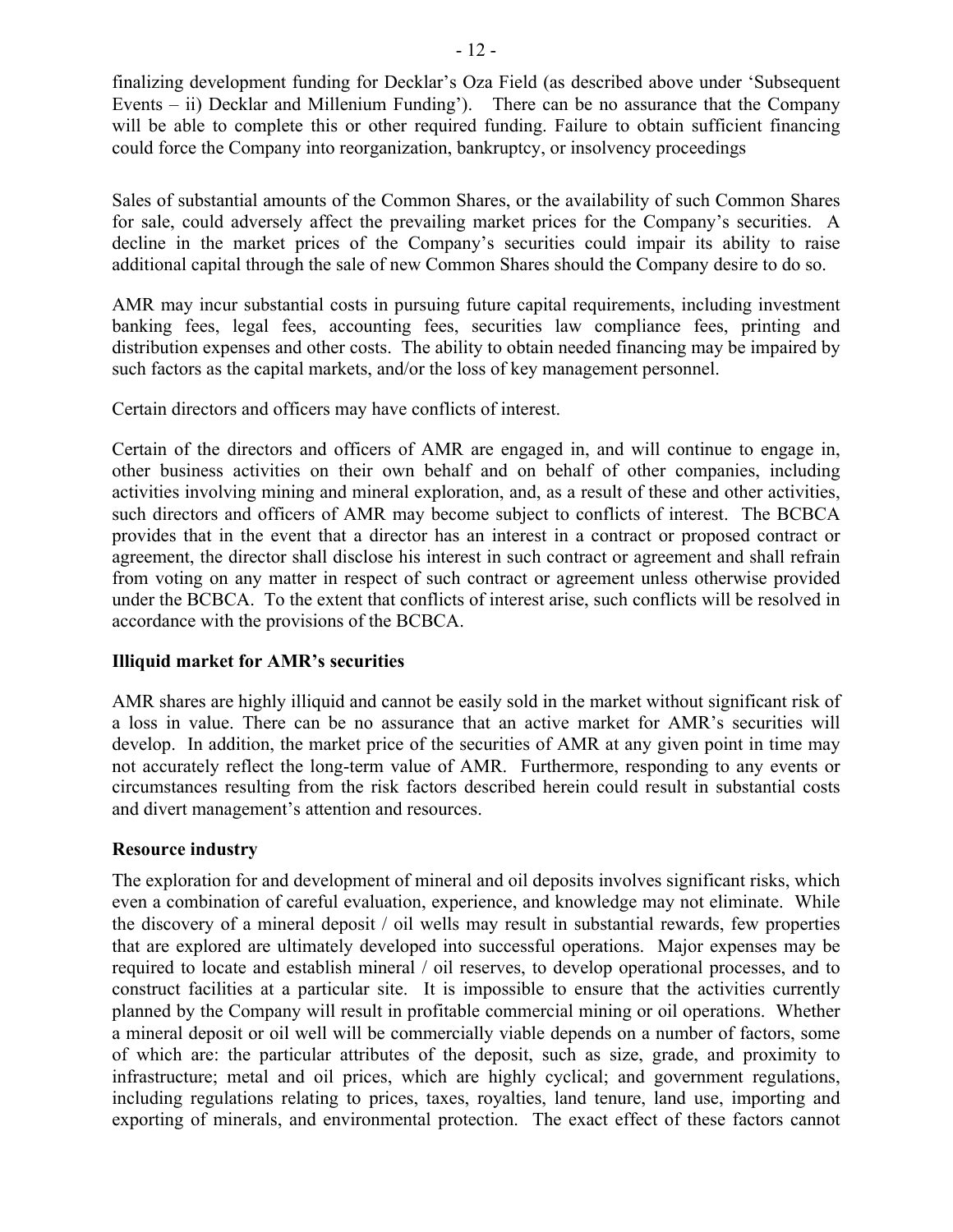finalizing development funding for Decklar's Oza Field (as described above under 'Subsequent Events – ii) Decklar and Millenium Funding'). There can be no assurance that the Company will be able to complete this or other required funding. Failure to obtain sufficient financing could force the Company into reorganization, bankruptcy, or insolvency proceedings

Sales of substantial amounts of the Common Shares, or the availability of such Common Shares for sale, could adversely affect the prevailing market prices for the Company's securities. A decline in the market prices of the Company's securities could impair its ability to raise additional capital through the sale of new Common Shares should the Company desire to do so.

AMR may incur substantial costs in pursuing future capital requirements, including investment banking fees, legal fees, accounting fees, securities law compliance fees, printing and distribution expenses and other costs. The ability to obtain needed financing may be impaired by such factors as the capital markets, and/or the loss of key management personnel.

Certain directors and officers may have conflicts of interest.

Certain of the directors and officers of AMR are engaged in, and will continue to engage in, other business activities on their own behalf and on behalf of other companies, including activities involving mining and mineral exploration, and, as a result of these and other activities, such directors and officers of AMR may become subject to conflicts of interest. The BCBCA provides that in the event that a director has an interest in a contract or proposed contract or agreement, the director shall disclose his interest in such contract or agreement and shall refrain from voting on any matter in respect of such contract or agreement unless otherwise provided under the BCBCA. To the extent that conflicts of interest arise, such conflicts will be resolved in accordance with the provisions of the BCBCA.

# **Illiquid market for AMR's securities**

AMR shares are highly illiquid and cannot be easily sold in the market without significant risk of a loss in value. There can be no assurance that an active market for AMR's securities will develop. In addition, the market price of the securities of AMR at any given point in time may not accurately reflect the long-term value of AMR. Furthermore, responding to any events or circumstances resulting from the risk factors described herein could result in substantial costs and divert management's attention and resources.

# **Resource industry**

The exploration for and development of mineral and oil deposits involves significant risks, which even a combination of careful evaluation, experience, and knowledge may not eliminate. While the discovery of a mineral deposit / oil wells may result in substantial rewards, few properties that are explored are ultimately developed into successful operations. Major expenses may be required to locate and establish mineral / oil reserves, to develop operational processes, and to construct facilities at a particular site. It is impossible to ensure that the activities currently planned by the Company will result in profitable commercial mining or oil operations. Whether a mineral deposit or oil well will be commercially viable depends on a number of factors, some of which are: the particular attributes of the deposit, such as size, grade, and proximity to infrastructure; metal and oil prices, which are highly cyclical; and government regulations, including regulations relating to prices, taxes, royalties, land tenure, land use, importing and exporting of minerals, and environmental protection. The exact effect of these factors cannot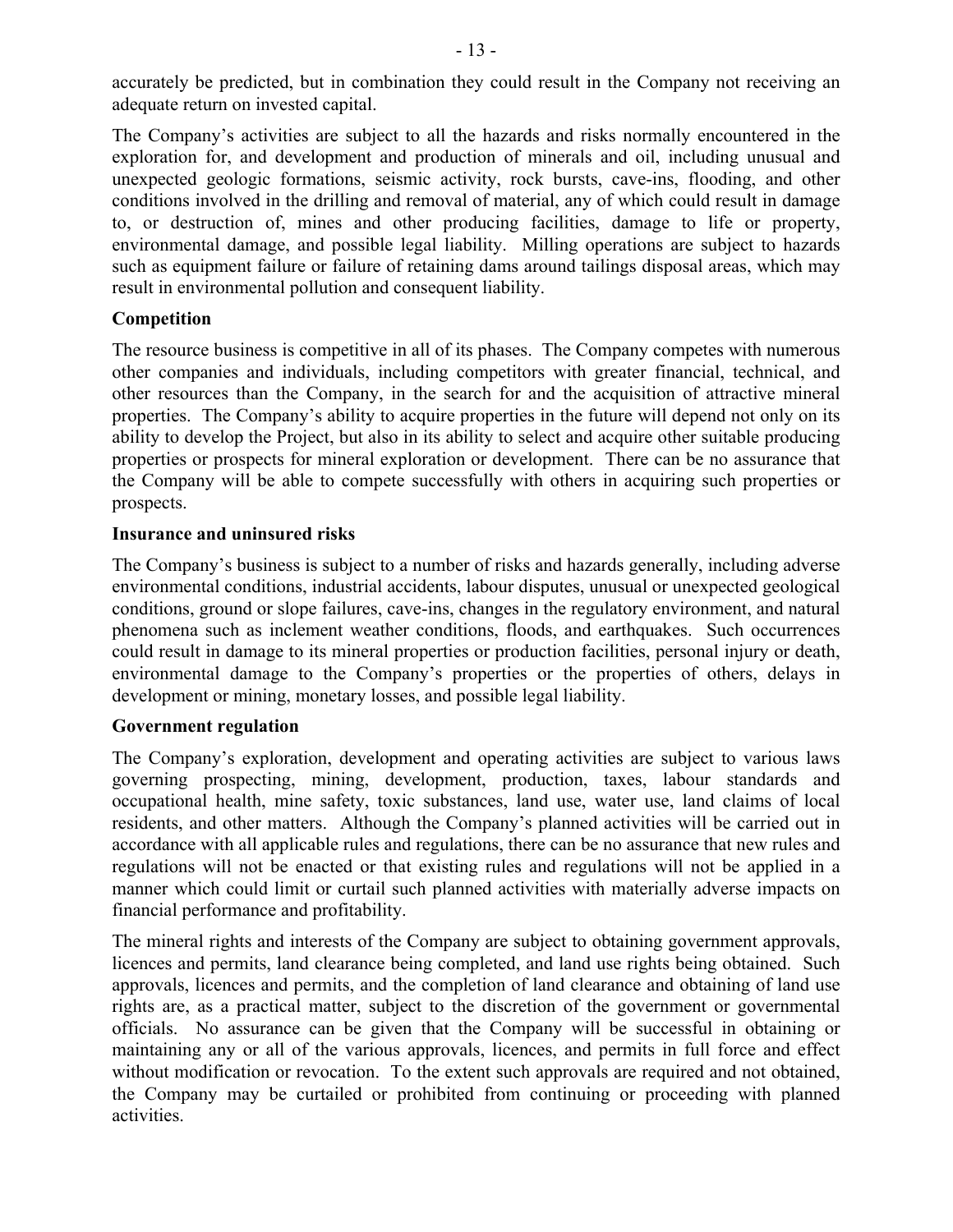accurately be predicted, but in combination they could result in the Company not receiving an adequate return on invested capital.

The Company's activities are subject to all the hazards and risks normally encountered in the exploration for, and development and production of minerals and oil, including unusual and unexpected geologic formations, seismic activity, rock bursts, cave-ins, flooding, and other conditions involved in the drilling and removal of material, any of which could result in damage to, or destruction of, mines and other producing facilities, damage to life or property, environmental damage, and possible legal liability. Milling operations are subject to hazards such as equipment failure or failure of retaining dams around tailings disposal areas, which may result in environmental pollution and consequent liability.

# **Competition**

The resource business is competitive in all of its phases. The Company competes with numerous other companies and individuals, including competitors with greater financial, technical, and other resources than the Company, in the search for and the acquisition of attractive mineral properties. The Company's ability to acquire properties in the future will depend not only on its ability to develop the Project, but also in its ability to select and acquire other suitable producing properties or prospects for mineral exploration or development. There can be no assurance that the Company will be able to compete successfully with others in acquiring such properties or prospects.

# **Insurance and uninsured risks**

The Company's business is subject to a number of risks and hazards generally, including adverse environmental conditions, industrial accidents, labour disputes, unusual or unexpected geological conditions, ground or slope failures, cave-ins, changes in the regulatory environment, and natural phenomena such as inclement weather conditions, floods, and earthquakes. Such occurrences could result in damage to its mineral properties or production facilities, personal injury or death, environmental damage to the Company's properties or the properties of others, delays in development or mining, monetary losses, and possible legal liability.

# **Government regulation**

The Company's exploration, development and operating activities are subject to various laws governing prospecting, mining, development, production, taxes, labour standards and occupational health, mine safety, toxic substances, land use, water use, land claims of local residents, and other matters. Although the Company's planned activities will be carried out in accordance with all applicable rules and regulations, there can be no assurance that new rules and regulations will not be enacted or that existing rules and regulations will not be applied in a manner which could limit or curtail such planned activities with materially adverse impacts on financial performance and profitability.

The mineral rights and interests of the Company are subject to obtaining government approvals, licences and permits, land clearance being completed, and land use rights being obtained. Such approvals, licences and permits, and the completion of land clearance and obtaining of land use rights are, as a practical matter, subject to the discretion of the government or governmental officials. No assurance can be given that the Company will be successful in obtaining or maintaining any or all of the various approvals, licences, and permits in full force and effect without modification or revocation. To the extent such approvals are required and not obtained, the Company may be curtailed or prohibited from continuing or proceeding with planned activities.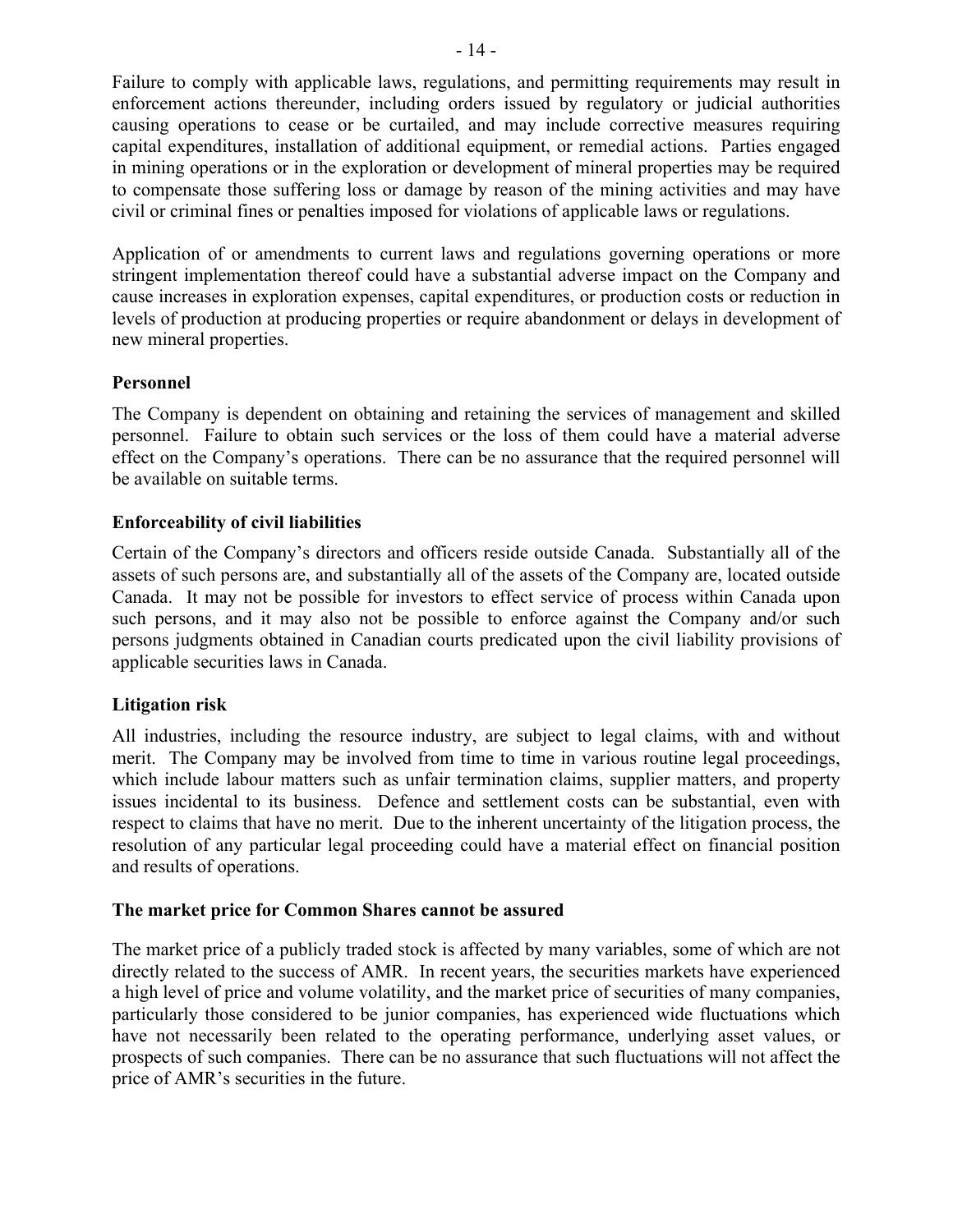Failure to comply with applicable laws, regulations, and permitting requirements may result in enforcement actions thereunder, including orders issued by regulatory or judicial authorities causing operations to cease or be curtailed, and may include corrective measures requiring capital expenditures, installation of additional equipment, or remedial actions. Parties engaged in mining operations or in the exploration or development of mineral properties may be required to compensate those suffering loss or damage by reason of the mining activities and may have civil or criminal fines or penalties imposed for violations of applicable laws or regulations.

Application of or amendments to current laws and regulations governing operations or more stringent implementation thereof could have a substantial adverse impact on the Company and cause increases in exploration expenses, capital expenditures, or production costs or reduction in levels of production at producing properties or require abandonment or delays in development of new mineral properties.

## **Personnel**

The Company is dependent on obtaining and retaining the services of management and skilled personnel. Failure to obtain such services or the loss of them could have a material adverse effect on the Company's operations. There can be no assurance that the required personnel will be available on suitable terms.

## **Enforceability of civil liabilities**

Certain of the Company's directors and officers reside outside Canada. Substantially all of the assets of such persons are, and substantially all of the assets of the Company are, located outside Canada. It may not be possible for investors to effect service of process within Canada upon such persons, and it may also not be possible to enforce against the Company and/or such persons judgments obtained in Canadian courts predicated upon the civil liability provisions of applicable securities laws in Canada.

### **Litigation risk**

All industries, including the resource industry, are subject to legal claims, with and without merit. The Company may be involved from time to time in various routine legal proceedings, which include labour matters such as unfair termination claims, supplier matters, and property issues incidental to its business. Defence and settlement costs can be substantial, even with respect to claims that have no merit. Due to the inherent uncertainty of the litigation process, the resolution of any particular legal proceeding could have a material effect on financial position and results of operations.

### **The market price for Common Shares cannot be assured**

The market price of a publicly traded stock is affected by many variables, some of which are not directly related to the success of AMR. In recent years, the securities markets have experienced a high level of price and volume volatility, and the market price of securities of many companies, particularly those considered to be junior companies, has experienced wide fluctuations which have not necessarily been related to the operating performance, underlying asset values, or prospects of such companies. There can be no assurance that such fluctuations will not affect the price of AMR's securities in the future.